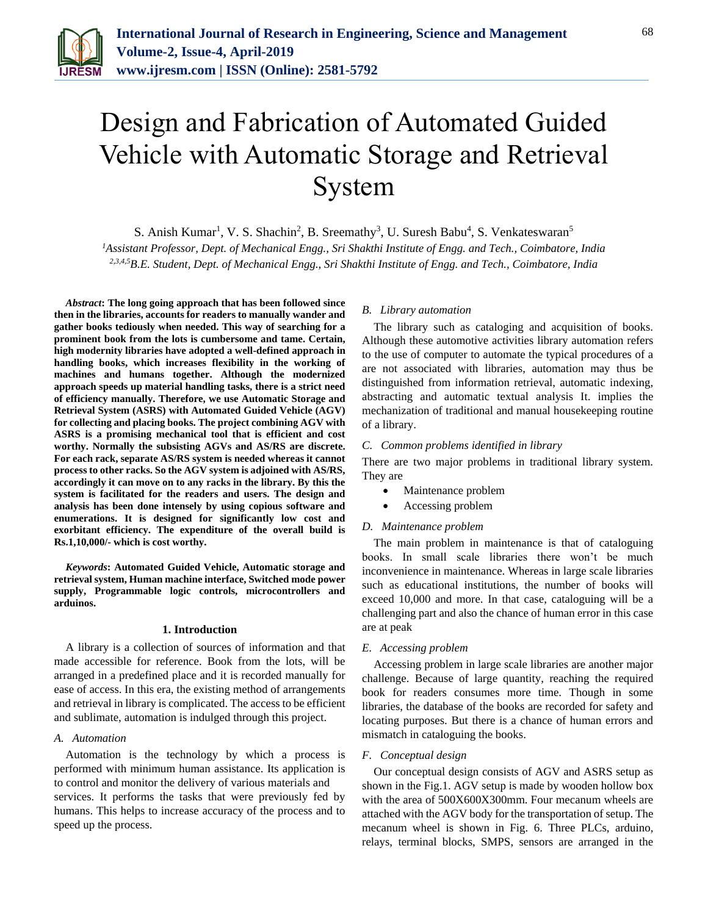

# Design and Fabrication of Automated Guided Vehicle with Automatic Storage and Retrieval System

S. Anish Kumar<sup>1</sup>, V. S. Shachin<sup>2</sup>, B. Sreemathy<sup>3</sup>, U. Suresh Babu<sup>4</sup>, S. Venkateswaran<sup>5</sup>

*<sup>1</sup>Assistant Professor, Dept. of Mechanical Engg., Sri Shakthi Institute of Engg. and Tech., Coimbatore, India 2,3,4,5B.E. Student, Dept. of Mechanical Engg., Sri Shakthi Institute of Engg. and Tech., Coimbatore, India*

*Abstract***: The long going approach that has been followed since then in the libraries, accounts for readers to manually wander and gather books tediously when needed. This way of searching for a prominent book from the lots is cumbersome and tame. Certain, high modernity libraries have adopted a well-defined approach in handling books, which increases flexibility in the working of machines and humans together. Although the modernized approach speeds up material handling tasks, there is a strict need of efficiency manually. Therefore, we use Automatic Storage and Retrieval System (ASRS) with Automated Guided Vehicle (AGV) for collecting and placing books. The project combining AGV with ASRS is a promising mechanical tool that is efficient and cost worthy. Normally the subsisting AGVs and AS/RS are discrete. For each rack, separate AS/RS system is needed whereas it cannot process to other racks. So the AGV system is adjoined with AS/RS, accordingly it can move on to any racks in the library. By this the system is facilitated for the readers and users. The design and analysis has been done intensely by using copious software and enumerations. It is designed for significantly low cost and exorbitant efficiency. The expenditure of the overall build is Rs.1,10,000/- which is cost worthy.** 

*Keywords***: Automated Guided Vehicle, Automatic storage and retrieval system, Human machine interface, Switched mode power supply, Programmable logic controls, microcontrollers and arduinos.** 

#### **1. Introduction**

A library is a collection of sources of information and that made accessible for reference. Book from the lots, will be arranged in a predefined place and it is recorded manually for ease of access. In this era, the existing method of arrangements and retrieval in library is complicated. The access to be efficient and sublimate, automation is indulged through this project.

# *A. Automation*

Automation is the technology by which a process is performed with minimum human assistance. Its application is to control and monitor the delivery of various materials and services. It performs the tasks that were previously fed by humans. This helps to increase accuracy of the process and to speed up the process.

## *B. Library automation*

The library such as cataloging and acquisition of books. Although these automotive activities library automation refers to the use of computer to automate the typical procedures of a are not associated with libraries, automation may thus be distinguished from information retrieval, automatic indexing, abstracting and automatic textual analysis It. implies the mechanization of traditional and manual housekeeping routine of a library.

## *C. Common problems identified in library*

There are two major problems in traditional library system. They are

- Maintenance problem
- Accessing problem

## *D. Maintenance problem*

The main problem in maintenance is that of cataloguing books. In small scale libraries there won't be much inconvenience in maintenance. Whereas in large scale libraries such as educational institutions, the number of books will exceed 10,000 and more. In that case, cataloguing will be a challenging part and also the chance of human error in this case are at peak

## *E. Accessing problem*

Accessing problem in large scale libraries are another major challenge. Because of large quantity, reaching the required book for readers consumes more time. Though in some libraries, the database of the books are recorded for safety and locating purposes. But there is a chance of human errors and mismatch in cataloguing the books.

## *F. Conceptual design*

Our conceptual design consists of AGV and ASRS setup as shown in the Fig.1. AGV setup is made by wooden hollow box with the area of 500X600X300mm. Four mecanum wheels are attached with the AGV body for the transportation of setup. The mecanum wheel is shown in Fig. 6. Three PLCs, arduino, relays, terminal blocks, SMPS, sensors are arranged in the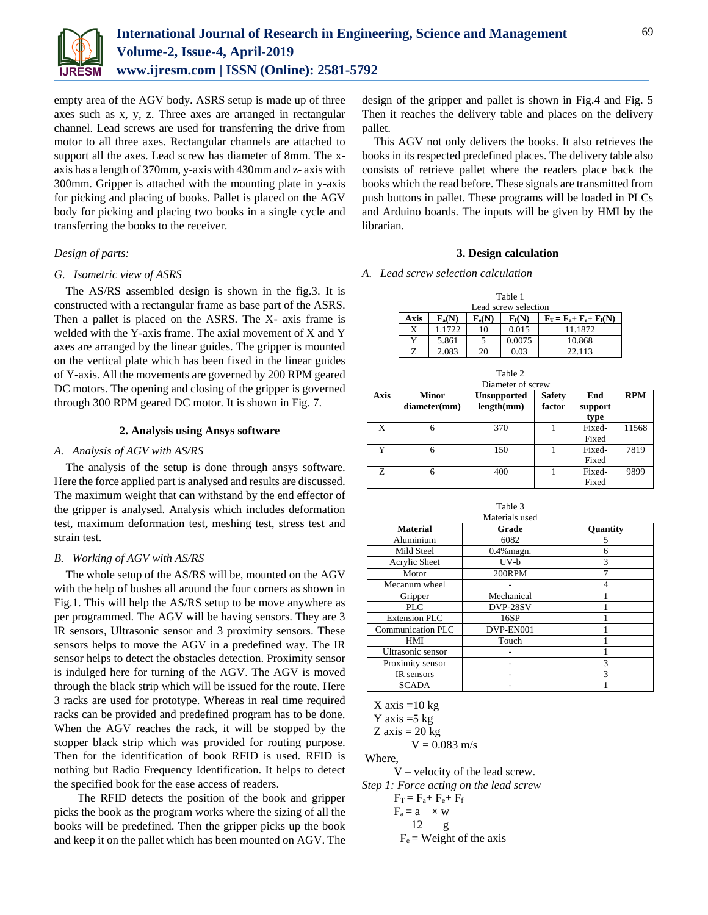

empty area of the AGV body. ASRS setup is made up of three axes such as x, y, z. Three axes are arranged in rectangular channel. Lead screws are used for transferring the drive from motor to all three axes. Rectangular channels are attached to support all the axes. Lead screw has diameter of 8mm. The xaxis has a length of 370mm, y-axis with 430mm and z- axis with 300mm. Gripper is attached with the mounting plate in y-axis for picking and placing of books. Pallet is placed on the AGV body for picking and placing two books in a single cycle and transferring the books to the receiver.

## *Design of parts:*

## *G. Isometric view of ASRS*

The AS/RS assembled design is shown in the fig.3. It is constructed with a rectangular frame as base part of the ASRS. Then a pallet is placed on the ASRS. The X- axis frame is welded with the Y-axis frame. The axial movement of X and Y axes are arranged by the linear guides. The gripper is mounted on the vertical plate which has been fixed in the linear guides of Y-axis. All the movements are governed by 200 RPM geared DC motors. The opening and closing of the gripper is governed through 300 RPM geared DC motor. It is shown in Fig. 7.

## **2. Analysis using Ansys software**

## *A. Analysis of AGV with AS/RS*

The analysis of the setup is done through ansys software. Here the force applied part is analysed and results are discussed. The maximum weight that can withstand by the end effector of the gripper is analysed. Analysis which includes deformation test, maximum deformation test, meshing test, stress test and strain test.

#### *B. Working of AGV with AS/RS*

The whole setup of the AS/RS will be, mounted on the AGV with the help of bushes all around the four corners as shown in Fig.1. This will help the AS/RS setup to be move anywhere as per programmed. The AGV will be having sensors. They are 3 IR sensors, Ultrasonic sensor and 3 proximity sensors. These sensors helps to move the AGV in a predefined way. The IR sensor helps to detect the obstacles detection. Proximity sensor is indulged here for turning of the AGV. The AGV is moved through the black strip which will be issued for the route. Here 3 racks are used for prototype. Whereas in real time required racks can be provided and predefined program has to be done. When the AGV reaches the rack, it will be stopped by the stopper black strip which was provided for routing purpose. Then for the identification of book RFID is used. RFID is nothing but Radio Frequency Identification. It helps to detect the specified book for the ease access of readers.

The RFID detects the position of the book and gripper picks the book as the program works where the sizing of all the books will be predefined. Then the gripper picks up the book and keep it on the pallet which has been mounted on AGV. The

design of the gripper and pallet is shown in Fig.4 and Fig. 5 Then it reaches the delivery table and places on the delivery pallet.

This AGV not only delivers the books. It also retrieves the books in its respected predefined places. The delivery table also consists of retrieve pallet where the readers place back the books which the read before. These signals are transmitted from push buttons in pallet. These programs will be loaded in PLCs and Arduino boards. The inputs will be given by HMI by the librarian.

## **3. Design calculation**

## *A. Lead screw selection calculation*

| Table 1              |          |          |          |                                                                                                                     |  |  |  |  |  |
|----------------------|----------|----------|----------|---------------------------------------------------------------------------------------------------------------------|--|--|--|--|--|
| Lead screw selection |          |          |          |                                                                                                                     |  |  |  |  |  |
| Axis                 | $F_a(N)$ | $F_e(N)$ | $F_f(N)$ | $\mathbf{F}_{\mathrm{T}} = \mathbf{F}_{\mathrm{a}} + \mathbf{F}_{\mathrm{e}} + \mathbf{F}_{\mathrm{f}}(\mathbf{N})$ |  |  |  |  |  |
| X                    | 1.1722   | 10       | 0.015    | 11.1872                                                                                                             |  |  |  |  |  |
| v                    | 5.861    |          | 0.0075   | 10.868                                                                                                              |  |  |  |  |  |
| Z                    | 2.083    | 20       | 0.03     | 22.113                                                                                                              |  |  |  |  |  |

| Table 2           |              |                    |               |         |            |  |  |  |
|-------------------|--------------|--------------------|---------------|---------|------------|--|--|--|
| Diameter of screw |              |                    |               |         |            |  |  |  |
| Axis              | <b>Minor</b> | <b>Unsupported</b> | <b>Safety</b> | End     | <b>RPM</b> |  |  |  |
|                   | diameter(mm) | length(mm)         | factor        | support |            |  |  |  |
|                   |              |                    |               | type    |            |  |  |  |
| X                 | 6            | 370                |               | Fixed-  | 11568      |  |  |  |
|                   |              |                    |               | Fixed   |            |  |  |  |
| Y                 | 6            | 150                |               | Fixed-  | 7819       |  |  |  |
|                   |              |                    |               | Fixed   |            |  |  |  |
| Z                 | 6            | 400                |               | Fixed-  | 9899       |  |  |  |
|                   |              |                    |               | Fixed   |            |  |  |  |

|                          | Table 3       |          |  |  |  |  |  |
|--------------------------|---------------|----------|--|--|--|--|--|
| Materials used           |               |          |  |  |  |  |  |
| <b>Material</b>          | Grade         | Quantity |  |  |  |  |  |
| Aluminium                | 6082          | 5        |  |  |  |  |  |
| Mild Steel               | $0.4\%$ magn. | 6        |  |  |  |  |  |
| Acrylic Sheet            | $UV-b$        | 3        |  |  |  |  |  |
| Motor                    | 200RPM        |          |  |  |  |  |  |
| Mecanum wheel            |               | 4        |  |  |  |  |  |
| Gripper                  | Mechanical    |          |  |  |  |  |  |
| <b>PLC</b>               | DVP-28SV      |          |  |  |  |  |  |
| <b>Extension PLC</b>     | 16SP          |          |  |  |  |  |  |
| <b>Communication PLC</b> | DVP-EN001     |          |  |  |  |  |  |
| HMI                      | Touch         |          |  |  |  |  |  |
| Ultrasonic sensor        |               |          |  |  |  |  |  |
| Proximity sensor         |               | 3        |  |  |  |  |  |
| IR sensors               |               | 3        |  |  |  |  |  |
| <b>SCADA</b>             |               |          |  |  |  |  |  |

 $X \text{ axis} = 10 \text{ kg}$ 

Y axis  $=5$  kg

 $Z \text{ axis} = 20 \text{ kg}$ 

 $V = 0.083$  m/s

Where,

V – velocity of the lead screw.

*Step 1: Force acting on the lead screw*

- $F_T = F_a + F_e + F_f$
- $F_a = \underline{a} \times \underline{w}$ 12 g

 $F_e$  = Weight of the axis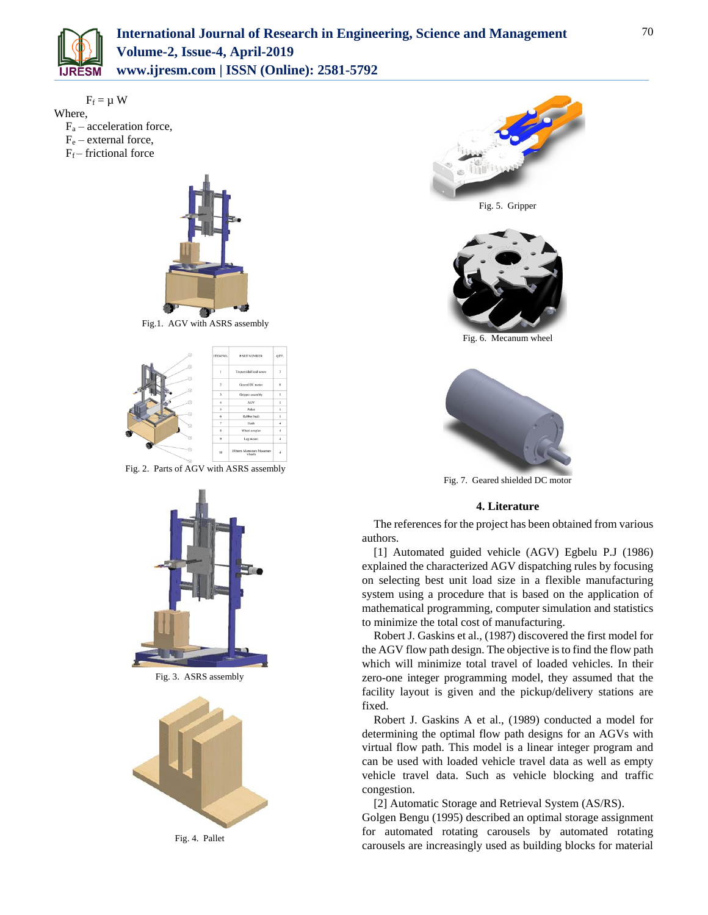

 $F_f = \mu W$ Where,  $F_a$  – acceleration force,  $F_e$  – external force,

 $F_f$  – frictional force



Fig.1. AGV with ASRS assembly



Fig. 2. Parts of AGV with ASRS assembly



Fig. 3. ASRS assembly



Fig. 4. Pallet





Fig. 6. Mecanum wheel



Fig. 7. Geared shielded DC motor

## **4. Literature**

The references for the project has been obtained from various authors.

[1] Automated guided vehicle (AGV) Egbelu P.J (1986) explained the characterized AGV dispatching rules by focusing on selecting best unit load size in a flexible manufacturing system using a procedure that is based on the application of mathematical programming, computer simulation and statistics to minimize the total cost of manufacturing.

Robert J. Gaskins et al., (1987) discovered the first model for the AGV flow path design. The objective is to find the flow path which will minimize total travel of loaded vehicles. In their zero-one integer programming model, they assumed that the facility layout is given and the pickup/delivery stations are fixed.

Robert J. Gaskins A et al., (1989) conducted a model for determining the optimal flow path designs for an AGVs with virtual flow path. This model is a linear integer program and can be used with loaded vehicle travel data as well as empty vehicle travel data. Such as vehicle blocking and traffic congestion.

[2] Automatic Storage and Retrieval System (AS/RS).

Golgen Bengu (1995) described an optimal storage assignment for automated rotating carousels by automated rotating carousels are increasingly used as building blocks for material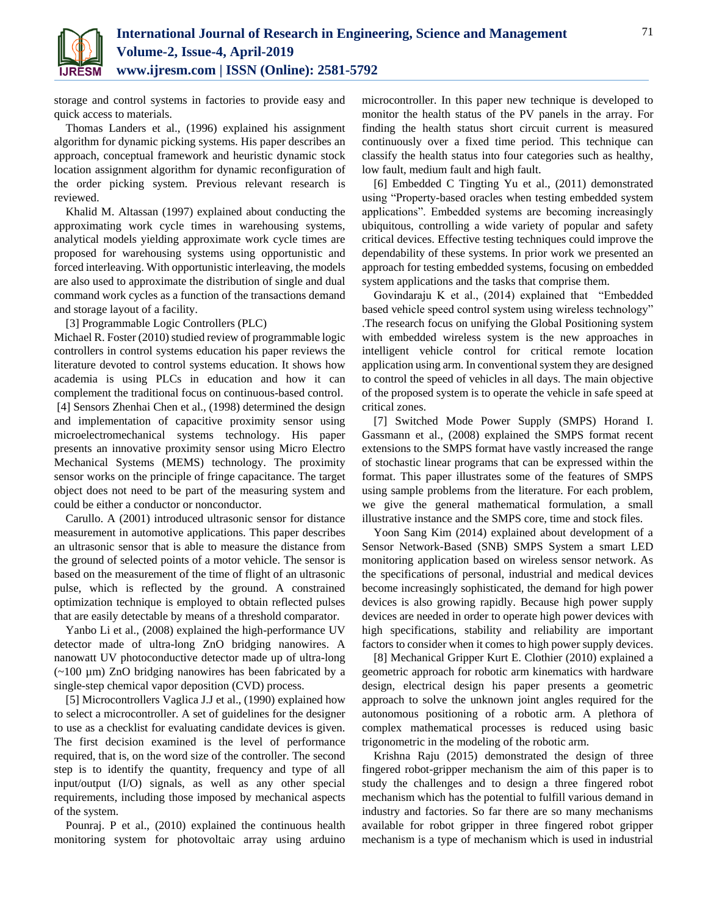

storage and control systems in factories to provide easy and quick access to materials.

Thomas Landers et al., (1996) explained his assignment algorithm for dynamic picking systems. His paper describes an approach, conceptual framework and heuristic dynamic stock location assignment algorithm for dynamic reconfiguration of the order picking system. Previous relevant research is reviewed.

Khalid M. Altassan (1997) explained about conducting the approximating work cycle times in warehousing systems, analytical models yielding approximate work cycle times are proposed for warehousing systems using opportunistic and forced interleaving. With opportunistic interleaving, the models are also used to approximate the distribution of single and dual command work cycles as a function of the transactions demand and storage layout of a facility.

[3] Programmable Logic Controllers (PLC)

Michael R. Foster (2010) studied review of programmable logic controllers in control systems education his paper reviews the literature devoted to control systems education. It shows how academia is using PLCs in education and how it can complement the traditional focus on continuous-based control. [4] Sensors Zhenhai Chen et al., (1998) determined the design and implementation of capacitive proximity sensor using microelectromechanical systems technology. His paper presents an innovative proximity sensor using Micro Electro Mechanical Systems (MEMS) technology. The proximity sensor works on the principle of fringe capacitance. The target object does not need to be part of the measuring system and could be either a conductor or nonconductor.

Carullo. A (2001) introduced ultrasonic sensor for distance measurement in automotive applications. This paper describes an ultrasonic sensor that is able to measure the distance from the ground of selected points of a motor vehicle. The sensor is based on the measurement of the time of flight of an ultrasonic pulse, which is reflected by the ground. A constrained optimization technique is employed to obtain reflected pulses that are easily detectable by means of a threshold comparator.

Yanbo Li et al., (2008) explained the high-performance UV detector made of ultra-long ZnO bridging nanowires. A nanowatt UV photoconductive detector made up of ultra-long (~100 µm) ZnO bridging nanowires has been fabricated by a single-step chemical vapor deposition (CVD) process.

[5] Microcontrollers Vaglica J.J et al., (1990) explained how to select a microcontroller. A set of guidelines for the designer to use as a checklist for evaluating candidate devices is given. The first decision examined is the level of performance required, that is, on the word size of the controller. The second step is to identify the quantity, frequency and type of all input/output (I/O) signals, as well as any other special requirements, including those imposed by mechanical aspects of the system.

Pounraj. P et al., (2010) explained the continuous health monitoring system for photovoltaic array using arduino microcontroller. In this paper new technique is developed to monitor the health status of the PV panels in the array. For finding the health status short circuit current is measured continuously over a fixed time period. This technique can classify the health status into four categories such as healthy, low fault, medium fault and high fault.

[6] Embedded C Tingting Yu et al., (2011) demonstrated using "Property-based oracles when testing embedded system applications". Embedded systems are becoming increasingly ubiquitous, controlling a wide variety of popular and safety critical devices. Effective testing techniques could improve the dependability of these systems. In prior work we presented an approach for testing embedded systems, focusing on embedded system applications and the tasks that comprise them.

Govindaraju K et al., (2014) explained that "Embedded based vehicle speed control system using wireless technology" .The research focus on unifying the Global Positioning system with embedded wireless system is the new approaches in intelligent vehicle control for critical remote location application using arm. In conventional system they are designed to control the speed of vehicles in all days. The main objective of the proposed system is to operate the vehicle in safe speed at critical zones.

[7] Switched Mode Power Supply (SMPS) Horand I. Gassmann et al., (2008) explained the SMPS format recent extensions to the SMPS format have vastly increased the range of stochastic linear programs that can be expressed within the format. This paper illustrates some of the features of SMPS using sample problems from the literature. For each problem, we give the general mathematical formulation, a small illustrative instance and the SMPS core, time and stock files.

Yoon Sang Kim (2014) explained about development of a Sensor Network-Based (SNB) SMPS System a smart LED monitoring application based on wireless sensor network. As the specifications of personal, industrial and medical devices become increasingly sophisticated, the demand for high power devices is also growing rapidly. Because high power supply devices are needed in order to operate high power devices with high specifications, stability and reliability are important factors to consider when it comes to high power supply devices.

[8] Mechanical Gripper Kurt E. Clothier (2010) explained a geometric approach for robotic arm kinematics with hardware design, electrical design his paper presents a geometric approach to solve the unknown joint angles required for the autonomous positioning of a robotic arm. A plethora of complex mathematical processes is reduced using basic trigonometric in the modeling of the robotic arm.

Krishna Raju (2015) demonstrated the design of three fingered robot-gripper mechanism the aim of this paper is to study the challenges and to design a three fingered robot mechanism which has the potential to fulfill various demand in industry and factories. So far there are so many mechanisms available for robot gripper in three fingered robot gripper mechanism is a type of mechanism which is used in industrial